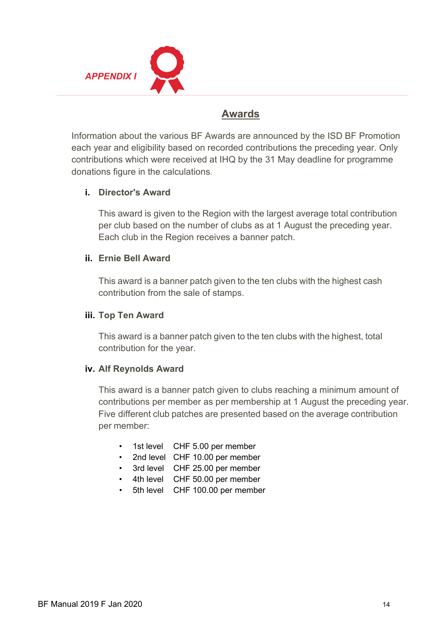

# **Awards**

Information about the various BF Awards are announced by the ISD BF Promotion each year and eligibility based on recorded contributions the preceding year. Only contributions which were received at IHQ by the 31 May deadline for programme donations figure in the calculations.

# **i. Director's Award**

This award is given to the Region with the largest average total contribution per club based on the number of clubs as at 1 August the preceding year. Each club in the Region receives a banner patch.

# **ii. Ernie Bell Award**

This award is a banner patch given to the ten clubs with the highest cash contribution from the sale of stamps.

### **iii. Top Ten Award**

This award is a banner patch given to the ten clubs with the highest, total contribution for the year.

# **iv. Alf Reynolds Award**

This award is a banner patch given to clubs reaching a minimum amount of contributions per member as per membership at 1 August the preceding year. Five different club patches are presented based on the average contribution per member:

- 1st level CHF 5.00 per member
- 2nd level CHF 10.00 per member
- 3rd level CHF 25.00 per member
- 4th level CHF 50.00 per member
- 5th level CHF 100.00 per member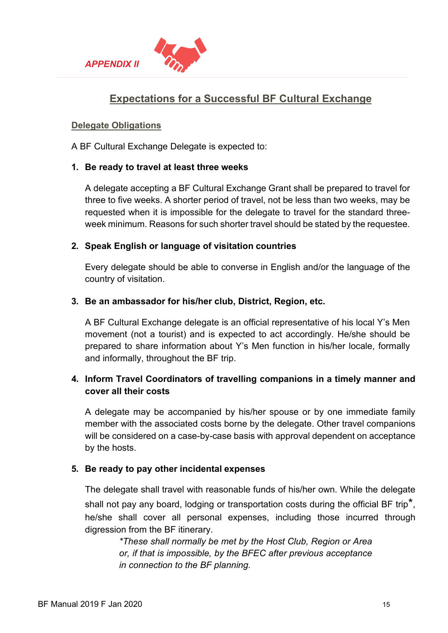



# **Expectations for a Successful BF Cultural Exchange**

### **Delegate Obligations**

A BF Cultural Exchange Delegate is expected to:

### **1. Be ready to travel at least three weeks**

A delegate accepting a BF Cultural Exchange Grant shall be prepared to travel for three to five weeks. A shorter period of travel, not be less than two weeks, may be requested when it is impossible for the delegate to travel for the standard threeweek minimum. Reasons for such shorter travel should be stated by the requestee.

### **2. Speak English or language of visitation countries**

Every delegate should be able to converse in English and/or the language of the country of visitation.

### **3. Be an ambassador for his/her club, District, Region, etc.**

A BF Cultural Exchange delegate is an official representative of his local Y's Men movement (not a tourist) and is expected to act accordingly. He/she should be prepared to share information about Y's Men function in his/her locale, formally and informally, throughout the BF trip.

# **4. Inform Travel Coordinators of travelling companions in a timely manner and cover all their costs**

A delegate may be accompanied by his/her spouse or by one immediate family member with the associated costs borne by the delegate. Other travel companions will be considered on a case-by-case basis with approval dependent on acceptance by the hosts.

# **5. Be ready to pay other incidental expenses**

The delegate shall travel with reasonable funds of his/her own. While the delegate shall not pay any board, lodging or transportation costs during the official BF trip<sup>\*</sup>, he/she shall cover all personal expenses, including those incurred through digression from the BF itinerary.

> *\*These shall normally be met by the Host Club, Region or Area or, if that is impossible, by the BFEC after previous acceptance in connection to the BF planning.*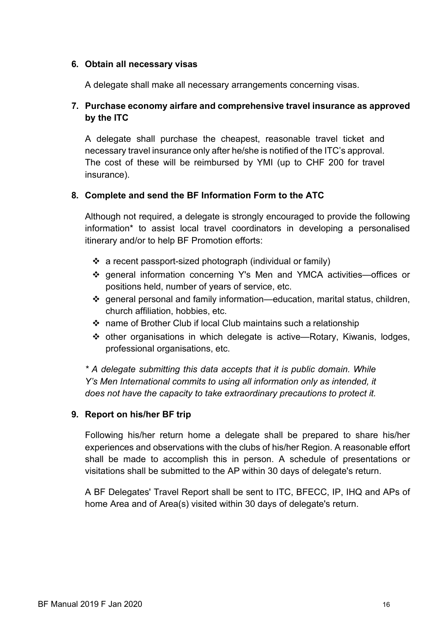#### **6. Obtain all necessary visas**

A delegate shall make all necessary arrangements concerning visas.

# **7. Purchase economy airfare and comprehensive travel insurance as approved by the ITC**

A delegate shall purchase the cheapest, reasonable travel ticket and necessary travel insurance only after he/she is notified of the ITC's approval. The cost of these will be reimbursed by YMI (up to CHF 200 for travel insurance).

# **8. Complete and send the BF Information Form to the ATC**

Although not required, a delegate is strongly encouraged to provide the following information\* to assist local travel coordinators in developing a personalised itinerary and/or to help BF Promotion efforts:

- $\div$  a recent passport-sized photograph (individual or family)
- general information concerning Y's Men and YMCA activities—offices or positions held, number of years of service, etc.
- general personal and family information—education, marital status, children, church affiliation, hobbies, etc.
- name of Brother Club if local Club maintains such a relationship
- other organisations in which delegate is active—Rotary, Kiwanis, lodges, professional organisations, etc.

*\* A delegate submitting this data accepts that it is public domain. While Y's Men International commits to using all information only as intended, it does not have the capacity to take extraordinary precautions to protect it.*

# **9. Report on his/her BF trip**

Following his/her return home a delegate shall be prepared to share his/her experiences and observations with the clubs of his/her Region. A reasonable effort shall be made to accomplish this in person. A schedule of presentations or visitations shall be submitted to the AP within 30 days of delegate's return.

A BF Delegates' Travel Report shall be sent to ITC, BFECC, IP, IHQ and APs of home Area and of Area(s) visited within 30 days of delegate's return.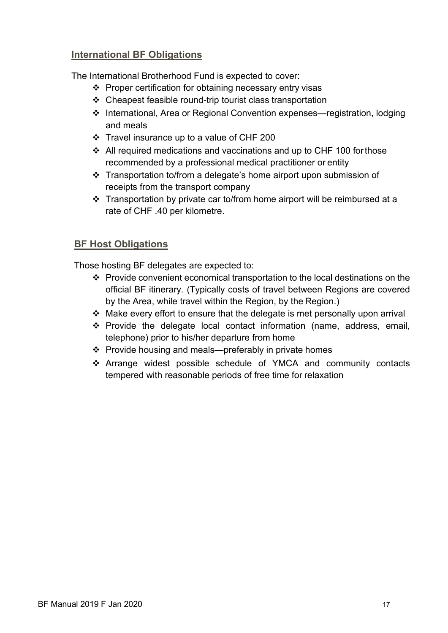# **International BF Obligations**

The International Brotherhood Fund is expected to cover:

- $\div$  Proper certification for obtaining necessary entry visas
- Cheapest feasible round-trip tourist class transportation
- International, Area or Regional Convention expenses—registration, lodging and meals
- Travel insurance up to a value of CHF 200
- $\div$  All required medications and vaccinations and up to CHF 100 for those recommended by a professional medical practitioner or entity
- Transportation to/from a delegate's home airport upon submission of receipts from the transport company
- Transportation by private car to/from home airport will be reimbursed at a rate of CHF .40 per kilometre.

# **BF Host Obligations**

Those hosting BF delegates are expected to:

- Provide convenient economical transportation to the local destinations on the official BF itinerary*.* (Typically costs of travel between Regions are covered by the Area, while travel within the Region, by the Region.)
- $\div$  Make every effort to ensure that the delegate is met personally upon arrival
- $\div$  Provide the delegate local contact information (name, address, email, telephone) prior to his/her departure from home
- ❖ Provide housing and meals—preferably in private homes
- Arrange widest possible schedule of YMCA and community contacts tempered with reasonable periods of free time for relaxation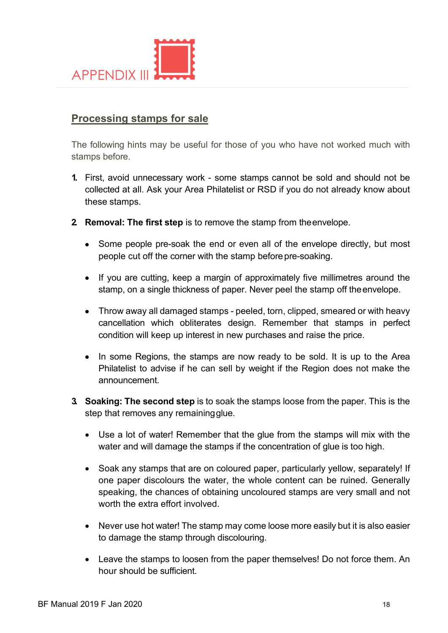

# **Processing stamps for sale**

The following hints may be useful for those of you who have not worked much with stamps before.

- **1.** First, avoid unnecessary work some stamps cannot be sold and should not be collected at all. Ask your Area Philatelist or RSD if you do not already know about these stamps.
- **2. Removal: The first step** is to remove the stamp from theenvelope.
	- Some people pre-soak the end or even all of the envelope directly, but most people cut off the corner with the stamp before pre-soaking.
	- If you are cutting, keep a margin of approximately five millimetres around the stamp, on a single thickness of paper. Never peel the stamp off theenvelope.
	- Throw away all damaged stamps peeled, torn, clipped, smeared or with heavy cancellation which obliterates design. Remember that stamps in perfect condition will keep up interest in new purchases and raise the price.
	- In some Regions, the stamps are now ready to be sold. It is up to the Area Philatelist to advise if he can sell by weight if the Region does not make the announcement.
- **3. Soaking: The second step** is to soak the stamps loose from the paper. This is the step that removes any remainingglue.
	- Use a lot of water! Remember that the glue from the stamps will mix with the water and will damage the stamps if the concentration of glue is too high.
	- Soak any stamps that are on coloured paper, particularly yellow, separately! If one paper discolours the water, the whole content can be ruined. Generally speaking, the chances of obtaining uncoloured stamps are very small and not worth the extra effort involved.
	- Never use hot water! The stamp may come loose more easily but it is also easier to damage the stamp through discolouring.
	- Leave the stamps to loosen from the paper themselves! Do not force them. An hour should be sufficient.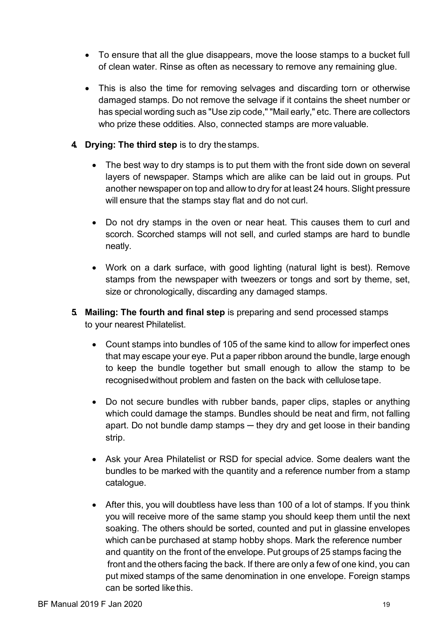- To ensure that all the glue disappears, move the loose stamps to a bucket full of clean water. Rinse as often as necessary to remove any remaining glue.
- This is also the time for removing selvages and discarding torn or otherwise damaged stamps. Do not remove the selvage if it contains the sheet number or has special wording such as "Use zip code," "Mail early," etc. There are collectors who prize these oddities. Also, connected stamps are morevaluable.
- **4. Drying: The third step** is to dry thestamps.
	- The best way to dry stamps is to put them with the front side down on several layers of newspaper. Stamps which are alike can be laid out in groups. Put another newspaper on top and allow to dry for at least 24 hours. Slight pressure will ensure that the stamps stay flat and do not curl.
	- Do not dry stamps in the oven or near heat. This causes them to curl and scorch. Scorched stamps will not sell, and curled stamps are hard to bundle neatly.
	- Work on a dark surface, with good lighting (natural light is best). Remove stamps from the newspaper with tweezers or tongs and sort by theme, set, size or chronologically, discarding any damaged stamps.
- **5. Mailing: The fourth and final step** is preparing and send processed stamps to your nearest Philatelist.
	- Count stamps into bundles of 105 of the same kind to allow for imperfect ones that may escape your eye. Put a paper ribbon around the bundle, large enough to keep the bundle together but small enough to allow the stamp to be recognisedwithout problem and fasten on the back with cellulosetape.
	- Do not secure bundles with rubber bands, paper clips, staples or anything which could damage the stamps. Bundles should be neat and firm, not falling apart. Do not bundle damp stamps — they dry and get loose in their banding strip.
	- Ask your Area Philatelist or RSD for special advice. Some dealers want the bundles to be marked with the quantity and a reference number from a stamp catalogue.
	- After this, you will doubtless have less than 100 of a lot of stamps. If you think you will receive more of the same stamp you should keep them until the next soaking. The others should be sorted, counted and put in glassine envelopes which canbe purchased at stamp hobby shops. Mark the reference number and quantity on the front of the envelope. Put groups of 25 stamps facing the front and the others facing the back. If there are only a few of one kind, you can put mixed stamps of the same denomination in one envelope. Foreign stamps can be sorted like this.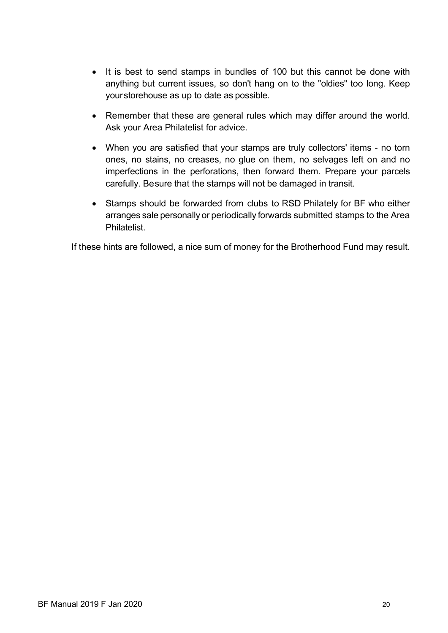- It is best to send stamps in bundles of 100 but this cannot be done with anything but current issues, so don't hang on to the "oldies" too long. Keep yourstorehouse as up to date as possible.
- Remember that these are general rules which may differ around the world. Ask your Area Philatelist for advice.
- When you are satisfied that your stamps are truly collectors' items no torn ones, no stains, no creases, no glue on them, no selvages left on and no imperfections in the perforations, then forward them. Prepare your parcels carefully. Besure that the stamps will not be damaged in transit.
- Stamps should be forwarded from clubs to RSD Philately for BF who either arranges sale personally or periodically forwards submitted stamps to the Area **Philatelist**

If these hints are followed, a nice sum of money for the Brotherhood Fund may result.